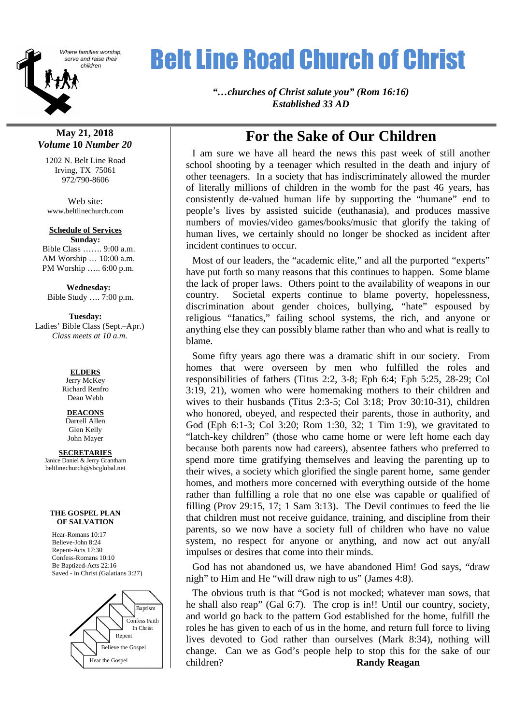

# Where families worship,<br>Serve and raise their<br>children

*"…churches of Christ salute you" (Rom 16:16) Established 33 AD*

## **May 21, 2018** *Volume* **10** *Number 20*

1202 N. Belt Line Road Irving, TX 75061 972/790-8606

Web site: www.beltlinechurch.com

#### **Schedule of Services Sunday:**

Bible Class ……. 9:00 a.m. AM Worship … 10:00 a.m. PM Worship ….. 6:00 p.m.

**Wednesday:** Bible Study …. 7:00 p.m.

## **Tuesday:** Ladies' Bible Class (Sept.–Apr.) *Class meets at 10 a.m.*

**ELDERS** Jerry McKey Richard Renfro Dean Webb

## **DEACONS**

Darrell Allen Glen Kelly John Mayer

## **SECRETARIES**

Janice Daniel & Jerry Grantham beltlinechurch@sbcglobal.net

#### **THE GOSPEL PLAN OF SALVATION**

Hear-Romans 10:17 Believe-John 8:24 Repent-Acts 17:30 Confess-Romans 10:10 Be Baptized-Acts 22:16 Saved - in Christ (Galatians 3:27)



## **For the Sake of Our Children**

I am sure we have all heard the news this past week of still another school shooting by a teenager which resulted in the death and injury of other teenagers. In a society that has indiscriminately allowed the murder of literally millions of children in the womb for the past 46 years, has consistently de-valued human life by supporting the "humane" end to people's lives by assisted suicide (euthanasia), and produces massive numbers of movies/video games/books/music that glorify the taking of human lives, we certainly should no longer be shocked as incident after incident continues to occur.

Most of our leaders, the "academic elite," and all the purported "experts" have put forth so many reasons that this continues to happen. Some blame the lack of proper laws. Others point to the availability of weapons in our country. Societal experts continue to blame poverty, hopelessness, discrimination about gender choices, bullying, "hate" espoused by religious "fanatics," failing school systems, the rich, and anyone or anything else they can possibly blame rather than who and what is really to blame.

Some fifty years ago there was a dramatic shift in our society. From homes that were overseen by men who fulfilled the roles and responsibilities of fathers (Titus 2:2, 3-8; Eph 6:4; Eph 5:25, 28-29; Col 3:19, 21), women who were homemaking mothers to their children and wives to their husbands (Titus 2:3-5; Col 3:18; Prov 30:10-31), children who honored, obeyed, and respected their parents, those in authority, and God (Eph 6:1-3; Col 3:20; Rom 1:30, 32; 1 Tim 1:9), we gravitated to "latch-key children" (those who came home or were left home each day because both parents now had careers), absentee fathers who preferred to spend more time gratifying themselves and leaving the parenting up to their wives, a society which glorified the single parent home, same gender homes, and mothers more concerned with everything outside of the home rather than fulfilling a role that no one else was capable or qualified of filling (Prov 29:15, 17; 1 Sam 3:13). The Devil continues to feed the lie that children must not receive guidance, training, and discipline from their parents, so we now have a society full of children who have no value system, no respect for anyone or anything, and now act out any/all impulses or desires that come into their minds.

God has not abandoned us, we have abandoned Him! God says, "draw nigh" to Him and He "will draw nigh to us" (James 4:8).

The obvious truth is that "God is not mocked; whatever man sows, that he shall also reap" (Gal 6:7). The crop is in!! Until our country, society, and world go back to the pattern God established for the home, fulfill the roles he has given to each of us in the home, and return full force to living lives devoted to God rather than ourselves (Mark 8:34), nothing will change. Can we as God's people help to stop this for the sake of our children? **Randy Reagan**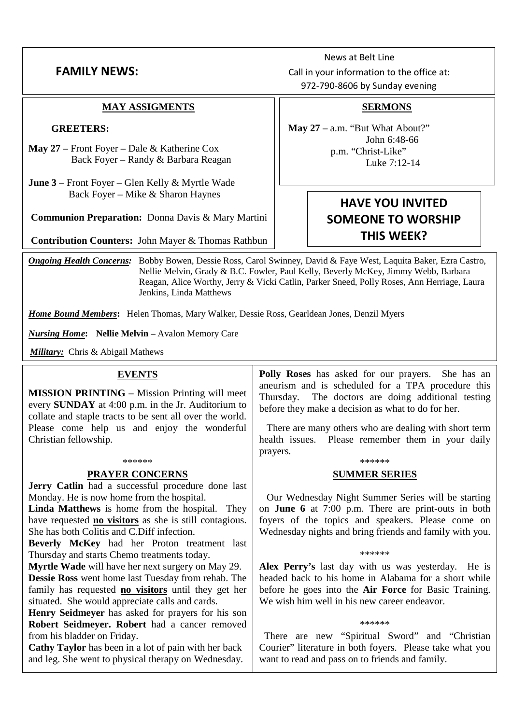## **FAMILY NFWS:**

## **MAY ASSIGMENTS**

## **GREETERS:**

- **May 27** Front Foyer Dale & Katherine Cox Back Foyer – Randy & Barbara Reagan
- **June 3** Front Foyer Glen Kelly & Myrtle Wade Back Foyer – Mike & Sharon Haynes

**Communion Preparation:** Donna Davis & Mary Martini

**Contribution Counters:** John Mayer & Thomas Rathbun

*Ongoing Health Concerns:* Bobby Bowen, Dessie Ross, Carol Swinney, David & Faye West, Laquita Baker, Ezra Castro, Nellie Melvin, Grady & B.C. Fowler, Paul Kelly, Beverly McKey, Jimmy Webb, Barbara Reagan, Alice Worthy, Jerry & Vicki Catlin, Parker Sneed, Polly Roses, Ann Herriage, Laura Jenkins, Linda Matthews

*Home Bound Members***:** Helen Thomas, Mary Walker, Dessie Ross, Gearldean Jones, Denzil Myers

*Nursing Home***: Nellie Melvin –** Avalon Memory Care

*Military:* Chris & Abigail Mathews

## **EVENTS**

**MISSION PRINTING –** Mission Printing will meet **MISSION PRINTING** – Mission Printing will meet  $\begin{array}{c}$  Thursday.<br>every **SUNDAY** at 4:00 p.m. in the Jr. Auditorium to before they collate and staple tracts to be sent all over the world. Please come help us and enjoy the wonderful Christian fellowship.

## \*\*\*\*\*\*

## **PRAYER CONCERNS**

Jerry Catlin had a successful procedure done last Monday. He is now home from the hospital.

Linda Matthews is home from the hospital. They have requested **no visitors** as she is still contagious. She has both Colitis and C.Diff infection.

**Beverly McKey** had her Proton treatment last Thursday and starts Chemo treatments today.

**Myrtle Wade** will have her next surgery on May 29.

**Dessie Ross** went home last Tuesday from rehab. The family has requested **no visitors** until they get her situated. She would appreciate calls and cards.

**Henry Seidmeyer** has asked for prayers for his son **Robert Seidmeyer. Robert** had a cancer removed from his bladder on Friday.

**Cathy Taylor** has been in a lot of pain with her back and leg. She went to physical therapy on Wednesday. **Polly Roses** has asked for our prayers. She has an aneurism and is scheduled for a TPA procedure this The doctors are doing additional testing before they make a decision as what to do for her.

There are many others who are dealing with short term health issues. Please remember them in your daily prayers.

## \*\*\*\*\*\* **SUMMER SERIES**

Our Wednesday Night Summer Series will be starting on **June 6** at 7:00 p.m. There are print-outs in both foyers of the topics and speakers. Please come on Wednesday nights and bring friends and family with you.

## \*\*\*\*\*\*

**Alex Perry's** last day with us was yesterday. He is headed back to his home in Alabama for a short while before he goes into the **Air Force** for Basic Training. We wish him well in his new career endeavor.

## \*\*\*\*\*\*

There are new "Spiritual Sword" and "Christian Courier" literature in both foyers. Please take what you want to read and pass on to friends and family.

## News at Belt Line Call in your information to the office at: 972-790-8606 by Sunday evening

## **SERMONS**

**May 27 –** a.m. "But What About?" John 6:48-66 p.m. "Christ-Like" Luke 7:12-14

## **HAVE YOU INVITED SOMEONE TO WORSHIP THIS WEEK?**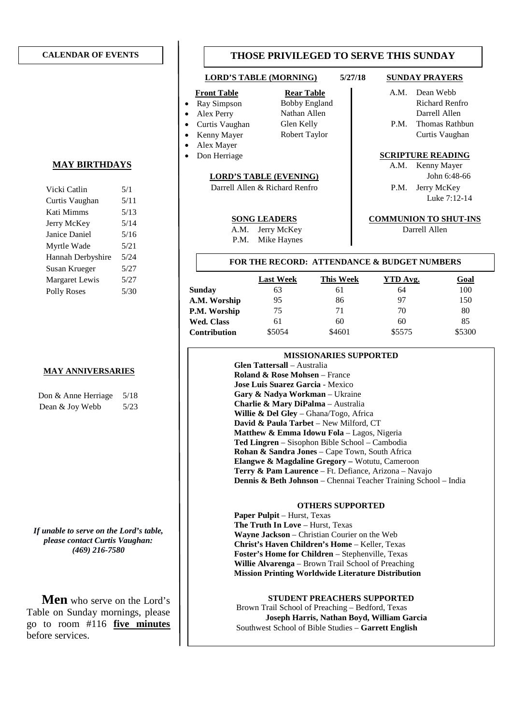### **CALENDAR OF EVENTS**

## **MAY BIRTHDAYS**

| 5/1  |
|------|
| 5/11 |
| 5/13 |
| 5/14 |
| 5/16 |
| 5/21 |
| 5/24 |
| 5/27 |
| 5/27 |
| 5/30 |
|      |

## **MAY ANNIVERSARIES**

| Don & Anne Herriage | 5/18 |
|---------------------|------|
| Dean & Joy Webb     | 5/23 |

*If unable to serve on the Lord's table, please contact Curtis Vaughan: (469) 216-7580*

**Men** who serve on the Lord's Table on Sunday mornings, please go to room #116 **five minutes** before services.

## **THOSE PRIVILEGED TO SERVE THIS SUNDAY**

## **LORD'S TABLE (MORNING) 5/27/18 SUNDAY PRAYERS**

- 
- 
- 
- 
- Alex Mayer
- 

## **LORD'S TABLE (EVENING)** John 6:48-66

Darrell Allen & Richard Renfro P.M. Jerry McKey

A.M. Jerry McKey Darrell Allen

P.M. Mike Haynes

- **Front Table Rear Table Rear Table A.M.** Dean Webb Ray Simpson Bobby England Richard Renfro Alex Perry Nathan Allen Nathan Mex Darrell Allen Curtis Vaughan Glen Kelly P.M. Thomas Rathbun
- Kenny Mayer Robert Taylor | Curtis Vaughan

## **•** Don Herriage **SCRIPTURE READING**

A.M. Kenny Mayer Luke 7:12-14

### **SONG LEADERS COMMUNION TO SHUT-INS**

## **FOR THE RECORD: ATTENDANCE & BUDGET NUMBERS**

|                     | <b>Last Week</b> | This Week | YTD Avg. | <u>Goal</u> |
|---------------------|------------------|-----------|----------|-------------|
| <b>Sunday</b>       | 63               | 61        | 64       | 100         |
| A.M. Worship        | 95               | 86        | 97       | 150         |
| P.M. Worship        | 75               | 71        | 70       | 80          |
| <b>Wed. Class</b>   | 61               | 60        | 60       | 85          |
| <b>Contribution</b> | \$5054           | \$4601    | \$5575   | \$5300      |

## **MISSIONARIES SUPPORTED**

**Glen Tattersall** – Australia **Roland & Rose Mohsen** – France **Jose Luis Suarez Garcia** - Mexico **Gary & Nadya Workman** – Ukraine **Charlie & Mary DiPalma** – Australia **Willie & Del Gley** – Ghana/Togo, Africa **David & Paula Tarbet** – New Milford, CT **Matthew & Emma Idowu Fola** – Lagos, Nigeria **Ted Lingren** – Sisophon Bible School – Cambodia **Rohan & Sandra Jones** – Cape Town, South Africa **Elangwe & Magdaline Gregory –** Wotutu, Cameroon **Terry & Pam Laurence** – Ft. Defiance, Arizona – Navajo **Dennis & Beth Johnson** – Chennai Teacher Training School – India

## **OTHERS SUPPORTED**

**Paper Pulpit** – Hurst, Texas **The Truth In Love** – Hurst, Texas **Wayne Jackson** – Christian Courier on the Web **Christ's Haven Children's Home** – Keller, Texas **Foster's Home for Children** – Stephenville, Texas **Willie Alvarenga** – Brown Trail School of Preaching **Mission Printing Worldwide Literature Distribution**

### **STUDENT PREACHERS SUPPORTED**

Brown Trail School of Preaching – Bedford, Texas **Joseph Harris, Nathan Boyd, William Garcia** Southwest School of Bible Studies – **Garrett English**